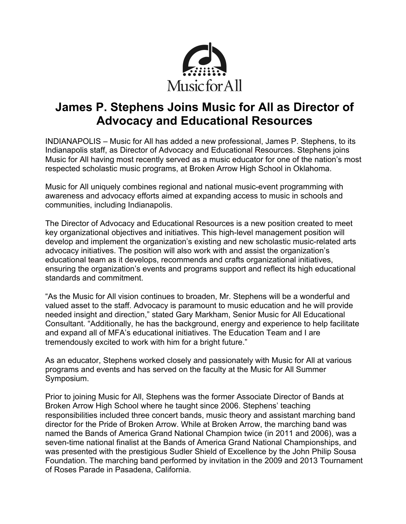

# **James P. Stephens Joins Music for All as Director of Advocacy and Educational Resources**

INDIANAPOLIS – Music for All has added a new professional, James P. Stephens, to its Indianapolis staff, as Director of Advocacy and Educational Resources. Stephens joins Music for All having most recently served as a music educator for one of the nation's most respected scholastic music programs, at Broken Arrow High School in Oklahoma.

Music for All uniquely combines regional and national music-event programming with awareness and advocacy efforts aimed at expanding access to music in schools and communities, including Indianapolis.

The Director of Advocacy and Educational Resources is a new position created to meet key organizational objectives and initiatives. This high-level management position will develop and implement the organization's existing and new scholastic music-related arts advocacy initiatives. The position will also work with and assist the organization's educational team as it develops, recommends and crafts organizational initiatives, ensuring the organization's events and programs support and reflect its high educational standards and commitment.

"As the Music for All vision continues to broaden, Mr. Stephens will be a wonderful and valued asset to the staff. Advocacy is paramount to music education and he will provide needed insight and direction," stated Gary Markham, Senior Music for All Educational Consultant. "Additionally, he has the background, energy and experience to help facilitate and expand all of MFA's educational initiatives. The Education Team and I are tremendously excited to work with him for a bright future."

As an educator, Stephens worked closely and passionately with Music for All at various programs and events and has served on the faculty at the Music for All Summer Symposium.

Prior to joining Music for All, Stephens was the former Associate Director of Bands at Broken Arrow High School where he taught since 2006. Stephens' teaching responsibilities included three concert bands, music theory and assistant marching band director for the Pride of Broken Arrow. While at Broken Arrow, the marching band was named the Bands of America Grand National Champion twice (in 2011 and 2006), was a seven-time national finalist at the Bands of America Grand National Championships, and was presented with the prestigious Sudler Shield of Excellence by the John Philip Sousa Foundation. The marching band performed by invitation in the 2009 and 2013 Tournament of Roses Parade in Pasadena, California.